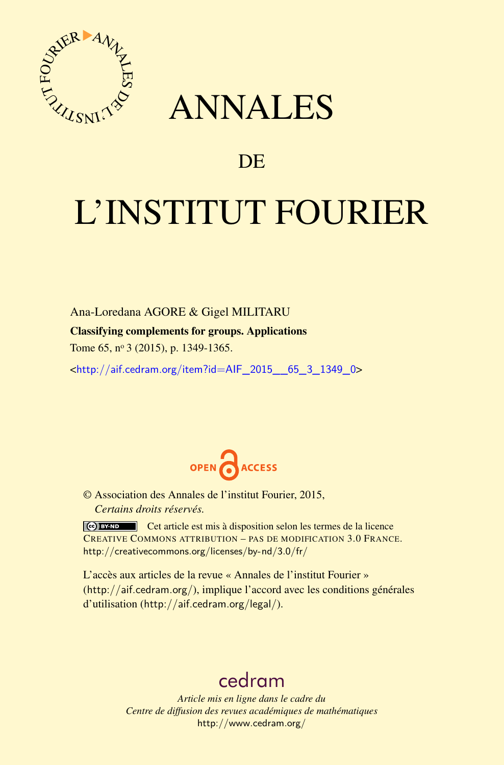

## ANNALES

### **DE**

# L'INSTITUT FOURIER

Ana-Loredana AGORE & Gigel MILITARU

Classifying complements for groups. Applications

Tome 65, nº 3 (2015), p. 1349-1365.

<[http://aif.cedram.org/item?id=AIF\\_2015\\_\\_65\\_3\\_1349\\_0](http://aif.cedram.org/item?id=AIF_2015__65_3_1349_0)>



© Association des Annales de l'institut Fourier, 2015, *Certains droits réservés.*

Cet article est mis à disposition selon les termes de la licence CREATIVE COMMONS ATTRIBUTION – PAS DE MODIFICATION 3.0 FRANCE. <http://creativecommons.org/licenses/by-nd/3.0/fr/>

L'accès aux articles de la revue « Annales de l'institut Fourier » (<http://aif.cedram.org/>), implique l'accord avec les conditions générales d'utilisation (<http://aif.cedram.org/legal/>).

## [cedram](http://www.cedram.org/)

*Article mis en ligne dans le cadre du Centre de diffusion des revues académiques de mathématiques* <http://www.cedram.org/>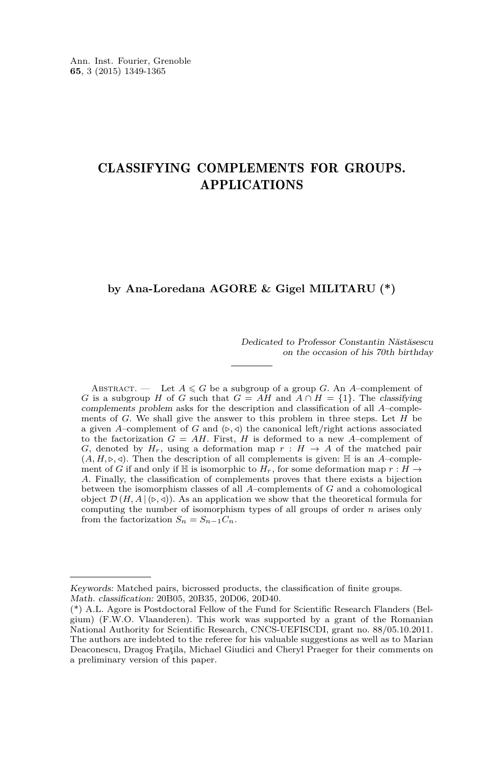#### CLASSIFYING COMPLEMENTS FOR GROUPS. APPLICATIONS

#### **by Ana-Loredana AGORE & Gigel MILITARU (\*)**

Dedicated to Professor Constantin Năstăsescu on the occasion of his 70th birthday

ABSTRACT. — Let  $A \le G$  be a subgroup of a group *G*. An *A*-complement of *G* is a subgroup *H* of *G* such that  $G = AH$  and  $A \cap H = \{1\}$ . The classifying complements problem asks for the description and classification of all *A*–complements of *G*. We shall give the answer to this problem in three steps. Let *H* be a given *A*–complement of *G* and  $({\triangleright}, {\triangleleft})$  the canonical left/right actions associated to the factorization  $G = AH$ . First,  $H$  is deformed to a new  $A$ -complement of *G*, denoted by  $H_r$ , using a deformation map  $r : H \to A$  of the matched pair  $(A, H, \triangleright, \triangleleft)$ . Then the description of all complements is given:  $\mathbb H$  is an *A*–complement of *G* if and only if H is isomorphic to  $H_r$ , for some deformation map  $r : H \to$ *A*. Finally, the classification of complements proves that there exists a bijection between the isomorphism classes of all *A*–complements of *G* and a cohomological object  $\mathcal{D}(H, A | (p, q))$ . As an application we show that the theoretical formula for computing the number of isomorphism types of all groups of order *n* arises only from the factorization  $S_n = S_{n-1}C_n$ .

Keywords: Matched pairs, bicrossed products, the classification of finite groups. Math. classification: 20B05, 20B35, 20D06, 20D40.

<sup>(\*)</sup> A.L. Agore is Postdoctoral Fellow of the Fund for Scientific Research Flanders (Belgium) (F.W.O. Vlaanderen). This work was supported by a grant of the Romanian National Authority for Scientific Research, CNCS-UEFISCDI, grant no. 88/05.10.2011. The authors are indebted to the referee for his valuable suggestions as well as to Marian Deaconescu, Dragoş Fraţila, Michael Giudici and Cheryl Praeger for their comments on a preliminary version of this paper.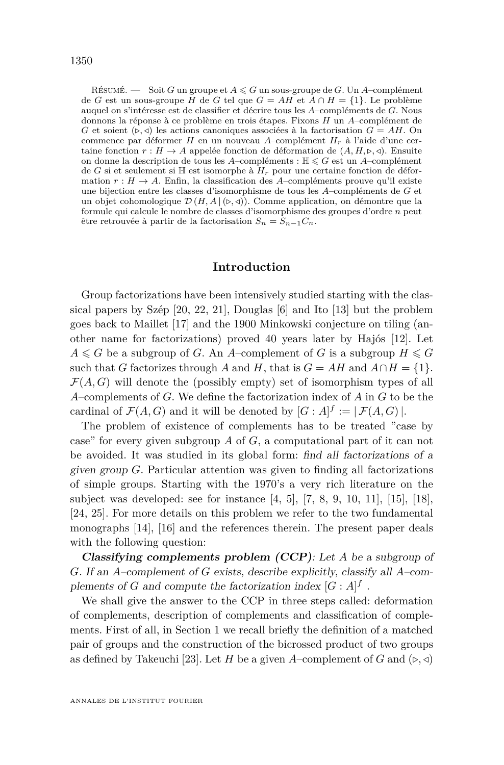RÉSUMÉ.  $\ \ \ \ \ \ \ \ \$  Soit *G* un groupe et  $A \leqslant G$  un sous-groupe de *G*. Un *A*–complément de *G* est un sous-groupe *H* de *G* tel que *G* = *AH* et *A* ∩ *H* = {1}. Le problème auquel on s'intéresse est de classifier et décrire tous les *A*–compléments de *G*. Nous donnons la réponse à ce problème en trois étapes. Fixons *H* un *A*–complément de *G* et soient  $(\triangleright, \triangleleft)$  les actions canoniques associées à la factorisation  $G = AH$ . On commence par déformer *H* en un nouveau *A*–complément *Hr* à l'aide d'une certaine fonction  $r : H \to A$  appelée fonction de déformation de  $(A, H, \triangleright, \triangleleft)$ . Ensuite on donne la description de tous les *A*–compléments :  $\mathbb{H} \leq G$  est un *A*–complément de *G* si et seulement si  $\mathbb{H}$  est isomorphe à  $H_r$  pour une certaine fonction de déformation  $r : H \to A$ . Enfin, la classification des *A*–compléments prouve qu'il existe une bijection entre les classes d'isomorphisme de tous les *A*–compléments de *G* et un objet cohomologique  $\mathcal{D}(H, A | (\triangleright, \triangleleft))$ . Comme application, on démontre que la formule qui calcule le nombre de classes d'isomorphisme des groupes d'ordre *n* peut être retrouvée à partir de la factorisation *S<sup>n</sup>* = *Sn*−1*Cn*.

#### **Introduction**

Group factorizations have been intensively studied starting with the classical papers by Szép [\[20,](#page-17-0) [22,](#page-17-0) [21\]](#page-17-0), Douglas [\[6\]](#page-16-0) and Ito [\[13\]](#page-16-0) but the problem goes back to Maillet [\[17\]](#page-16-0) and the 1900 Minkowski conjecture on tiling (another name for factorizations) proved 40 years later by Hajós [\[12\]](#page-16-0). Let  $A \leq G$  be a subgroup of *G*. An *A*–complement of *G* is a subgroup  $H \leq G$ such that *G* factorizes through *A* and *H*, that is  $G = AH$  and  $A \cap H = \{1\}$ .  $\mathcal{F}(A, G)$  will denote the (possibly empty) set of isomorphism types of all *A*–complements of *G*. We define the factorization index of *A* in *G* to be the cardinal of  $\mathcal{F}(A, G)$  and it will be denoted by  $[G : A]^f := |\mathcal{F}(A, G)|$ .

The problem of existence of complements has to be treated "case by case" for every given subgroup *A* of *G*, a computational part of it can not be avoided. It was studied in its global form: find all factorizations of a given group *G*. Particular attention was given to finding all factorizations of simple groups. Starting with the 1970's a very rich literature on the subject was developed: see for instance [\[4,](#page-16-0) [5\]](#page-16-0), [\[7,](#page-16-0) [8,](#page-16-0) [9,](#page-16-0) [10,](#page-16-0) [11\]](#page-16-0), [\[15\]](#page-16-0), [\[18\]](#page-16-0), [\[24,](#page-17-0) [25\]](#page-17-0). For more details on this problem we refer to the two fundamental monographs [\[14\]](#page-16-0), [\[16\]](#page-16-0) and the references therein. The present paper deals with the following question:

**Classifying complements problem (CCP)**: Let *A* be a subgroup of *G*. If an *A*–complement of *G* exists, describe explicitly, classify all *A*–complements of *G* and compute the factorization index  $[G : A]$ <sup>f</sup>.

We shall give the answer to the CCP in three steps called: deformation of complements, description of complements and classification of complements. First of all, in Section [1](#page-3-0) we recall briefly the definition of a matched pair of groups and the construction of the bicrossed product of two groups as defined by Takeuchi [\[23\]](#page-17-0). Let *H* be a given *A*–complement of *G* and  $(\triangleright, \triangleleft)$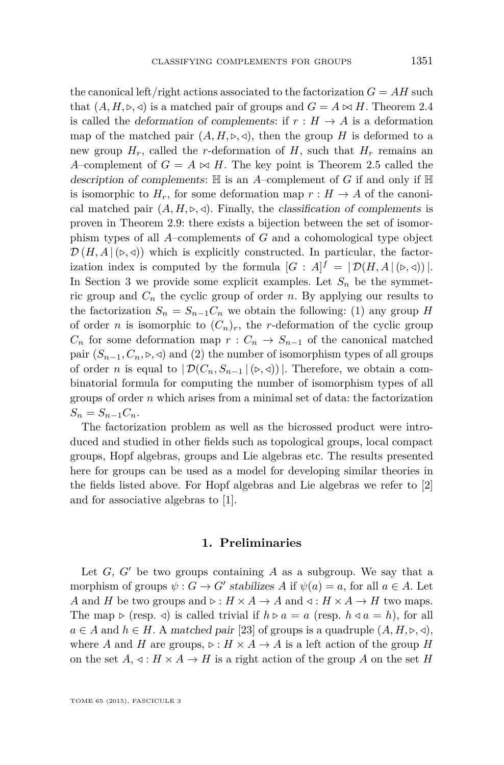<span id="page-3-0"></span>the canonical left/right actions associated to the factorization  $G = AH$  such that  $(A, H, \triangleright, \triangleleft)$  is a matched pair of groups and  $G = A \bowtie H$ . Theorem [2.4](#page-8-0) is called the *deformation of complements:* if  $r : H \to A$  is a deformation map of the matched pair  $(A, H, \triangleright, \triangleleft)$ , then the group *H* is deformed to a new group  $H_r$ , called the *r*-deformation of  $H$ , such that  $H_r$  remains an *A*–complement of  $G = A \bowtie H$ . The key point is Theorem [2.5](#page-10-0) called the description of complements: H is an *A*–complement of *G* if and only if H is isomorphic to  $H_r$ , for some deformation map  $r : H \to A$  of the canonical matched pair  $(A, H, \triangleright, \triangleleft)$ . Finally, the classification of complements is proven in Theorem [2.9:](#page-12-0) there exists a bijection between the set of isomorphism types of all *A*–complements of *G* and a cohomological type object  $\mathcal{D}(H, A | (\triangleright, \triangleleft))$  which is explicitly constructed. In particular, the factorization index is computed by the formula  $[G : A]^{f} = | \mathcal{D}(H, A | (\triangleright, \triangleleft)) |$ . In Section [3](#page-13-0) we provide some explicit examples. Let  $S_n$  be the symmetric group and  $C_n$  the cyclic group of order *n*. By applying our results to the factorization  $S_n = S_{n-1}C_n$  we obtain the following: (1) any group *H* of order *n* is isomorphic to  $(C_n)_r$ , the *r*-deformation of the cyclic group  $C_n$  for some deformation map  $r: C_n \to S_{n-1}$  of the canonical matched pair  $(S_{n-1}, C_n, \triangleright, \triangleleft)$  and (2) the number of isomorphism types of all groups of order *n* is equal to  $|\mathcal{D}(C_n, S_{n-1} | (\triangleright, \triangleleft))|$ . Therefore, we obtain a combinatorial formula for computing the number of isomorphism types of all groups of order *n* which arises from a minimal set of data: the factorization  $S_n = S_{n-1} C_n.$ 

The factorization problem as well as the bicrossed product were introduced and studied in other fields such as topological groups, local compact groups, Hopf algebras, groups and Lie algebras etc. The results presented here for groups can be used as a model for developing similar theories in the fields listed above. For Hopf algebras and Lie algebras we refer to [\[2\]](#page-16-0) and for associative algebras to [\[1\]](#page-16-0).

#### **1. Preliminaries**

Let  $G$ ,  $G'$  be two groups containing  $A$  as a subgroup. We say that a morphism of groups  $\psi$  :  $G \to G'$  stabilizes  $A$  if  $\psi(a) = a$ , for all  $a \in A$ . Let *A* and *H* be two groups and  $\triangleright : H \times A \to A$  and  $\triangleleft : H \times A \to H$  two maps. The map  $\triangleright$  (resp. *d*) is called trivial if  $h \triangleright a = a$  (resp.  $h \triangleleft a = h$ ), for all  $a \in A$  and  $h \in H$ . A matched pair [\[23\]](#page-17-0) of groups is a quadruple  $(A, H, \triangleright, \triangleleft)$ , where *A* and *H* are groups,  $\triangleright : H \times A \rightarrow A$  is a left action of the group *H* on the set  $A, \triangleleft : H \times A \to H$  is a right action of the group A on the set H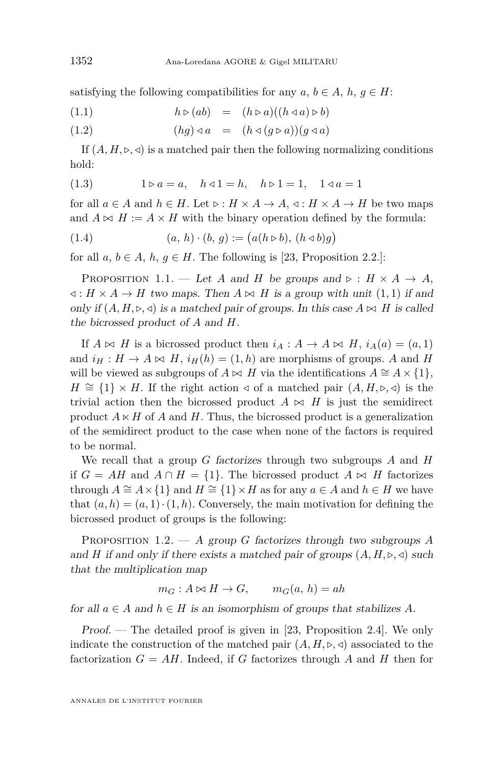<span id="page-4-0"></span>satisfying the following compatibilities for any  $a, b \in A$ ,  $h, g \in H$ :

$$
(1.1) \t\t\t h \triangleright (ab) = (h \triangleright a)((h \triangleleft a) \triangleright b)
$$

$$
(1.2) \qquad (hg) \triangleleft a = (h \triangleleft (g \triangleright a))(g \triangleleft a)
$$

If  $(A, H, \triangleright, \triangleleft)$  is a matched pair then the following normalizing conditions hold:

(1.3) 
$$
1 \triangleright a = a, \quad h \triangleleft 1 = h, \quad h \triangleright 1 = 1, \quad 1 \triangleleft a = 1
$$

for all  $a \in A$  and  $h \in H$ . Let  $\triangleright : H \times A \to A$ ,  $\triangleleft : H \times A \to H$  be two maps and  $A \bowtie H := A \times H$  with the binary operation defined by the formula:

(1.4) 
$$
(a, h) \cdot (b, g) := (a(h \triangleright b), (h \triangleleft b)g)
$$

for all  $a, b \in A$ ,  $h, g \in H$ . The following is [\[23,](#page-17-0) Proposition 2.2.]:

PROPOSITION 1.1. — Let *A* and *H* be groups and  $\triangleright : H \times A \rightarrow A$ , *√* : *H* × *A* → *H* two maps. Then *A*  $\bowtie$  *H* is a group with unit (1,1) if and only if  $(A, H, \triangleright, \triangleleft)$  is a matched pair of groups. In this case  $A \bowtie H$  is called the bicrossed product of *A* and *H*.

If  $A \bowtie H$  is a bicrossed product then  $i_A : A \rightarrow A \bowtie H$ ,  $i_A(a) = (a, 1)$ and  $i_H : H \to A \bowtie H$ ,  $i_H(h) = (1, h)$  are morphisms of groups. *A* and *H* will be viewed as subgroups of  $A \bowtie H$  via the identifications  $A \cong A \times \{1\}$ , *H* ≅ {1}  $\times$  *H*. If the right action  $\triangleleft$  of a matched pair  $(A, H, \triangleright, \triangleleft)$  is the trivial action then the bicrossed product  $A \bowtie H$  is just the semidirect product  $A \ltimes H$  of *A* and *H*. Thus, the bicrossed product is a generalization of the semidirect product to the case when none of the factors is required to be normal.

We recall that a group *G* factorizes through two subgroups *A* and *H* if  $G = AH$  and  $A \cap H = \{1\}$ . The bicrossed product  $A \bowtie H$  factorizes through  $A \cong A \times \{1\}$  and  $H \cong \{1\} \times H$  as for any  $a \in A$  and  $h \in H$  we have that  $(a, h) = (a, 1) \cdot (1, h)$ . Conversely, the main motivation for defining the bicrossed product of groups is the following:

Proposition 1.2. — A group *G* factorizes through two subgroups *A* and *H* if and only if there exists a matched pair of groups  $(A, H, \triangleright, \triangleleft)$  such that the multiplication map

$$
m_G: A \bowtie H \to G, \qquad m_G(a, h) = ah
$$

for all  $a \in A$  and  $h \in H$  is an isomorphism of groups that stabilizes A.

Proof. — The detailed proof is given in [\[23,](#page-17-0) Proposition 2.4]. We only indicate the construction of the matched pair  $(A, H, \triangleright, \triangleleft)$  associated to the factorization  $G = AH$ . Indeed, if *G* factorizes through *A* and *H* then for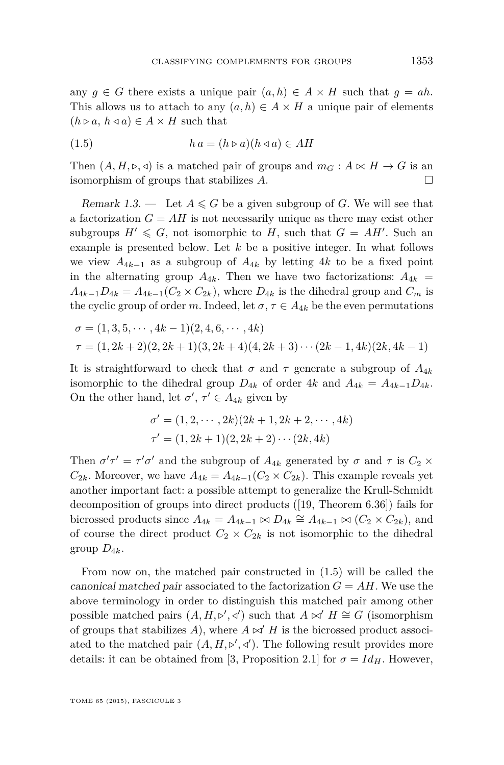<span id="page-5-0"></span>any  $g \in G$  there exists a unique pair  $(a, h) \in A \times H$  such that  $g = ah$ . This allows us to attach to any  $(a, h) \in A \times H$  a unique pair of elements  $(h \triangleright a, h \triangleleft a) \in A \times H$  such that

(1.5) *h a* = (*h . a*)(*h / a*) ∈ *AH*

Then  $(A, H, \triangleright, \triangleleft)$  is a matched pair of groups and  $m_G : A \bowtie H \to G$  is an isomorphism of groups that stabilizes *A*.

Remark 1.3. — Let  $A \leq G$  be a given subgroup of G. We will see that a factorization  $G = AH$  is not necessarily unique as there may exist other subgroups  $H' \leq G$ , not isomorphic to *H*, such that  $G = AH'$ . Such an example is presented below. Let *k* be a positive integer. In what follows we view  $A_{4k-1}$  as a subgroup of  $A_{4k}$  by letting 4*k* to be a fixed point in the alternating group  $A_{4k}$ . Then we have two factorizations:  $A_{4k}$  =  $A_{4k-1}D_{4k} = A_{4k-1}(C_2 \times C_{2k})$ , where  $D_{4k}$  is the dihedral group and  $C_m$  is the cyclic group of order *m*. Indeed, let  $\sigma$ ,  $\tau \in A_{4k}$  be the even permutations

$$
\sigma = (1, 3, 5, \cdots, 4k - 1)(2, 4, 6, \cdots, 4k)
$$
  
\n
$$
\tau = (1, 2k + 2)(2, 2k + 1)(3, 2k + 4)(4, 2k + 3) \cdots (2k - 1, 4k)(2k, 4k - 1)
$$

It is straightforward to check that  $\sigma$  and  $\tau$  generate a subgroup of  $A_{4k}$ isomorphic to the dihedral group  $D_{4k}$  of order  $4k$  and  $A_{4k} = A_{4k-1}D_{4k}$ . On the other hand, let  $\sigma'$ ,  $\tau' \in A_{4k}$  given by

$$
\sigma' = (1, 2, \cdots, 2k)(2k + 1, 2k + 2, \cdots, 4k)
$$
  

$$
\tau' = (1, 2k + 1)(2, 2k + 2) \cdots (2k, 4k)
$$

Then  $\sigma' \tau' = \tau' \sigma'$  and the subgroup of  $A_{4k}$  generated by  $\sigma$  and  $\tau$  is  $C_2 \times$  $C_{2k}$ . Moreover, we have  $A_{4k} = A_{4k-1}(C_2 \times C_{2k})$ . This example reveals yet another important fact: a possible attempt to generalize the Krull-Schmidt decomposition of groups into direct products ([\[19,](#page-16-0) Theorem 6.36]) fails for bicrossed products since  $A_{4k} = A_{4k-1} \bowtie D_{4k} \cong A_{4k-1} \bowtie (C_2 \times C_{2k})$ , and of course the direct product  $C_2 \times C_{2k}$  is not isomorphic to the dihedral group  $D_{4k}$ .

From now on, the matched pair constructed in (1.5) will be called the canonical matched pair associated to the factorization  $G = AH$ . We use the above terminology in order to distinguish this matched pair among other possible matched pairs  $(A, H, \triangleright', \triangleleft')$  such that  $A \bowtie' H \cong G$  (isomorphism of groups that stabilizes  $A$ ), where  $A \bowtie' H$  is the bicrossed product associated to the matched pair  $(A, H, \nu', \triangleleft')$ . The following result provides more details: it can be obtained from [\[3,](#page-16-0) Proposition 2.1] for  $\sigma = Id_H$ . However,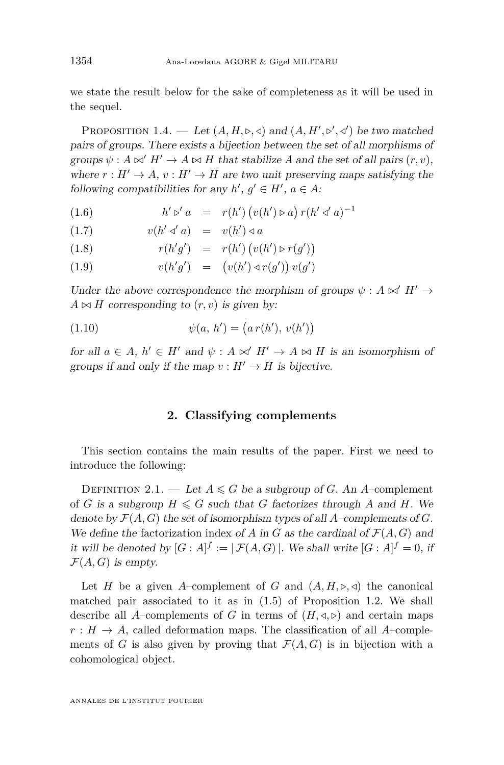we state the result below for the sake of completeness as it will be used in the sequel.

PROPOSITION 1.4. — Let  $(A, H, \triangleright, \triangleleft)$  and  $(A, H', \triangleright', \triangleleft')$  be two matched pairs of groups. There exists a bijection between the set of all morphisms of groups  $\psi : A \bowtie H' \to A \bowtie H$  that stabilize *A* and the set of all pairs  $(r, v)$ , where  $r : H' \to A$ ,  $v : H' \to H$  are two unit preserving maps satisfying the following compatibilities for any  $h'$ ,  $g' \in H'$ ,  $a \in A$ :

(1.6) 
$$
h' \triangleright' a = r(h') (v(h') \triangleright a) r(h' \triangleleft' a)^{-1}
$$

$$
(1.7) \t v(h' \triangleleft' a) = v(h') \triangleleft a
$$

(1.8) 
$$
r(h'g') = r(h') (v(h') \triangleright r(g'))
$$

(1.9) 
$$
v(h'g') = (v(h') \triangleleft r(g')) v(g')
$$

Under the above correspondence the morphism of groups  $\psi : A \bowtie' H' \rightarrow$  $A \bowtie H$  corresponding to  $(r, v)$  is given by:

(1.10) 
$$
\psi(a, h') = (a r(h'), v(h'))
$$

for all  $a \in A$ ,  $h' \in H'$  and  $\psi : A \bowtie' H' \to A \bowtie H$  is an isomorphism of groups if and only if the map  $v : H' \to H$  is bijective.

#### **2. Classifying complements**

This section contains the main results of the paper. First we need to introduce the following:

DEFINITION 2.1. — Let  $A \leq G$  be a subgroup of *G*. An *A*-complement of *G* is a subgroup  $H \le G$  such that *G* factorizes through *A* and *H*. We denote by  $\mathcal{F}(A, G)$  the set of isomorphism types of all *A*–complements of *G*. We define the factorization index of *A* in *G* as the cardinal of  $\mathcal{F}(A, G)$  and it will be denoted by  $[G : A]^f := |\mathcal{F}(A, G)|$ . We shall write  $[G : A]^f = 0$ , if  $\mathcal{F}(A, G)$  is empty.

Let *H* be a given *A*–complement of *G* and  $(A, H, \triangleright, \triangleleft)$  the canonical matched pair associated to it as in [\(1.5\)](#page-5-0) of Proposition [1.2.](#page-4-0) We shall describe all *A*–complements of *G* in terms of  $(H, \triangleleft, \triangleright)$  and certain maps  $r : H \to A$ , called deformation maps. The classification of all *A*–complements of *G* is also given by proving that  $\mathcal{F}(A, G)$  is in bijection with a cohomological object.

ANNALES DE L'INSTITUT FOURIER

<span id="page-6-0"></span>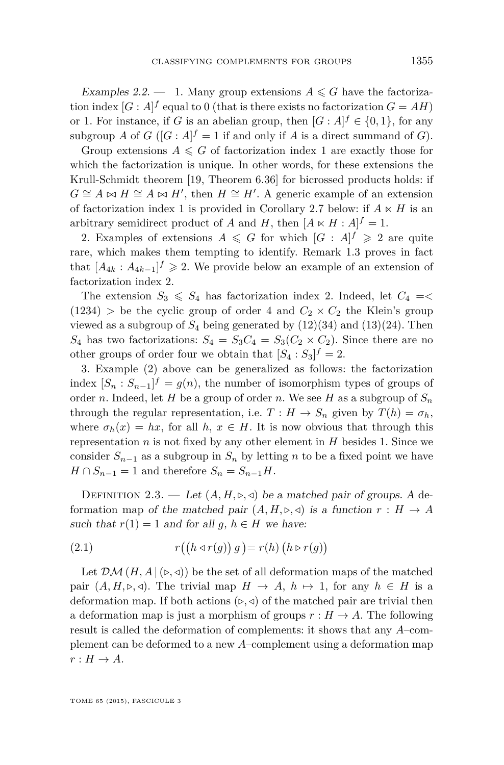<span id="page-7-0"></span>Examples 2.2.  $-$  1. Many group extensions  $A \leq G$  have the factorization index  $[G : A]^f$  equal to 0 (that is there exists no factorization  $G = AH$ ) or 1. For instance, if *G* is an abelian group, then  $[G : A]$ <sup>*f*</sup>  $\in \{0,1\}$ , for any subgroup *A* of  $G$  ( $[G : A]$ <sup> $f$ </sup> = 1 if and only if *A* is a direct summand of *G*).

Group extensions  $A \leq G$  of factorization index 1 are exactly those for which the factorization is unique. In other words, for these extensions the Krull-Schmidt theorem [\[19,](#page-16-0) Theorem 6.36] for bicrossed products holds: if  $G \cong A \bowtie H \cong A \bowtie H'$ , then  $H \cong H'$ . A generic example of an extension of factorization index 1 is provided in Corollary [2.7](#page-11-0) below: if  $A \ltimes H$  is an arbitrary semidirect product of *A* and *H*, then  $[A \ltimes H : A]$ <sup>*f*</sup> = 1.

2. Examples of extensions  $A \leq G$  for which  $[G : A]^f \geq 2$  are quite rare, which makes them tempting to identify. Remark [1.3](#page-5-0) proves in fact that  $[A_{4k}: A_{4k-1}]^f \geq 2$ . We provide below an example of an extension of factorization index 2.

The extension  $S_3 \leq S_4$  has factorization index 2. Indeed, let  $C_4$  =<  $(1234)$  > be the cyclic group of order 4 and  $C_2 \times C_2$  the Klein's group viewed as a subgroup of  $S_4$  being generated by  $(12)(34)$  and  $(13)(24)$ . Then  $S_4$  has two factorizations:  $S_4 = S_3 C_4 = S_3 (C_2 \times C_2)$ . Since there are no other groups of order four we obtain that  $[S_4 : S_3]^f = 2$ .

3. Example (2) above can be generalized as follows: the factorization index  $[S_n : S_{n-1}]^f = g(n)$ , the number of isomorphism types of groups of order *n*. Indeed, let *H* be a group of order *n*. We see *H* as a subgroup of  $S_n$ through the regular representation, i.e.  $T: H \to S_n$  given by  $T(h) = \sigma_h$ , where  $\sigma_h(x) = hx$ , for all *h*,  $x \in H$ . It is now obvious that through this representation  $n$  is not fixed by any other element in  $H$  besides 1. Since we consider  $S_{n-1}$  as a subgroup in  $S_n$  by letting *n* to be a fixed point we have  $H \cap S_{n-1} = 1$  and therefore  $S_n = S_{n-1}H$ .

DEFINITION 2.3. — Let  $(A, H, \triangleright, \triangleleft)$  be a matched pair of groups. A deformation map of the matched pair  $(A, H, \triangleright, \triangleleft)$  is a function  $r : H \to A$ such that  $r(1) = 1$  and for all  $q, h \in H$  we have:

(2.1) 
$$
r((h \triangleleft r(g)) g) = r(h) (h \triangleright r(g))
$$

Let  $\mathcal{DM}(H, A | (\triangleright, \triangleleft))$  be the set of all deformation maps of the matched pair  $(A, H, \triangleright, \triangleleft)$ . The trivial map  $H \to A$ ,  $h \mapsto 1$ , for any  $h \in H$  is a deformation map. If both actions  $(\triangleright, \triangleleft)$  of the matched pair are trivial then a deformation map is just a morphism of groups  $r : H \to A$ . The following result is called the deformation of complements: it shows that any *A*–complement can be deformed to a new *A*–complement using a deformation map  $r: H \to A$ .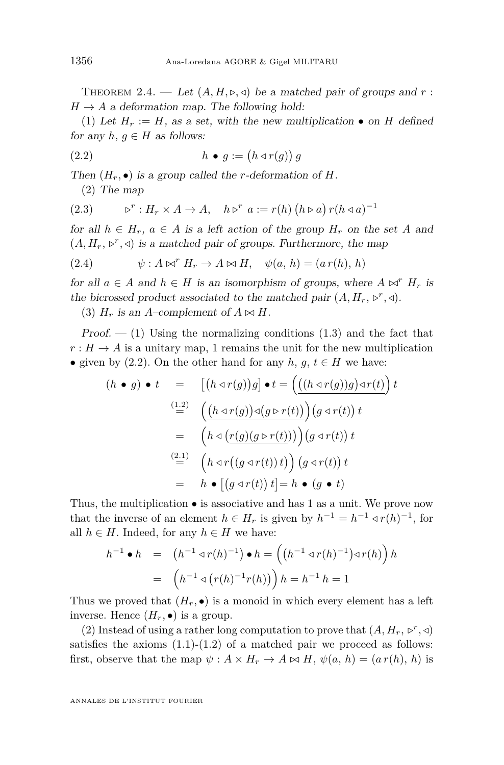<span id="page-8-0"></span>THEOREM 2.4. — Let  $(A, H, \triangleright, \triangleleft)$  be a matched pair of groups and r:  $H \rightarrow A$  a deformation map. The following hold:

(1) Let  $H_r := H$ , as a set, with the new multiplication  $\bullet$  on *H* defined for any  $h, q \in H$  as follows:

$$
(2.2) \t\t\t h \bullet g := (h \triangleleft r(g)) g
$$

Then  $(H_r, \bullet)$  is a group called the *r*-deformation of *H*.

(2) The map

(2.3) 
$$
\triangleright^r : H_r \times A \to A, \quad h \triangleright^r a := r(h) (h \triangleright a) r(h \triangleleft a)^{-1}
$$

for all  $h \in H_r$ ,  $a \in A$  is a left action of the group  $H_r$  on the set A and  $(A, H_r, \triangleright^r, \triangleleft)$  is a matched pair of groups. Furthermore, the map

(2.4) 
$$
\psi: A \bowtie^{r} H_{r} \to A \bowtie H, \quad \psi(a, h) = (a r(h), h)
$$

for all  $a \in A$  and  $h \in H$  is an isomorphism of groups, where  $A \bowtie^{r} H_{r}$  is the bicrossed product associated to the matched pair  $(A, H_r, \triangleright^r, \triangleleft)$ .

(3)  $H_r$  is an *A*–complement of  $A \bowtie H$ .

 $Proof. - (1)$  Using the normalizing conditions  $(1.3)$  and the fact that  $r: H \to A$  is a unitary map, 1 remains the unit for the new multiplication • given by  $(2.2)$ . On the other hand for any  $h, g, t \in H$  we have:

$$
(h \bullet g) \bullet t = \left[ (h \triangleleft r(g))g \right] \bullet t = \left( \underline{((h \triangleleft r(g))g) \triangleleft r(t)} \right) t \right. \n\stackrel{(1.2)}{=} \left( \underline{(h \triangleleft r(g)) \triangleleft (g \triangleright r(t))} \right) (g \triangleleft r(t)) t \right. \n= \left( h \triangleleft ( \underline{r(g)(g \triangleright r(t))} ) \right) (g \triangleleft r(t)) t \right. \n\stackrel{(2.1)}{=} \left( h \triangleleft r((g \triangleleft r(t)) t) \right) (g \triangleleft r(t)) t \right. \n= h \bullet [(g \triangleleft r(t)) t] = h \bullet (g \bullet t)
$$

Thus, the multiplication  $\bullet$  is associative and has 1 as a unit. We prove now that the inverse of an element  $h \in H_r$  is given by  $h^{-1} = h^{-1} \triangleleft r(h)^{-1}$ , for all  $h \in H$ . Indeed, for any  $h \in H$  we have:

$$
h^{-1} \bullet h = (h^{-1} \triangleleft r(h)^{-1}) \bullet h = ((h^{-1} \triangleleft r(h)^{-1}) \triangleleft r(h)) h
$$
  
=  $(h^{-1} \triangleleft (r(h)^{-1} r(h)) h = h^{-1} h = 1$ 

Thus we proved that  $(H_r, \bullet)$  is a monoid in which every element has a left inverse. Hence  $(H_r, \bullet)$  is a group.

(2) Instead of using a rather long computation to prove that  $(A, H_r, \vartriangleright^r, \vartriangleleft)$ satisfies the axioms  $(1.1)-(1.2)$  $(1.1)-(1.2)$  $(1.1)-(1.2)$  of a matched pair we proceed as follows: first, observe that the map  $\psi: A \times H_r \to A \bowtie H$ ,  $\psi(a, h) = (a r(h), h)$  is

ANNALES DE L'INSTITUT FOURIER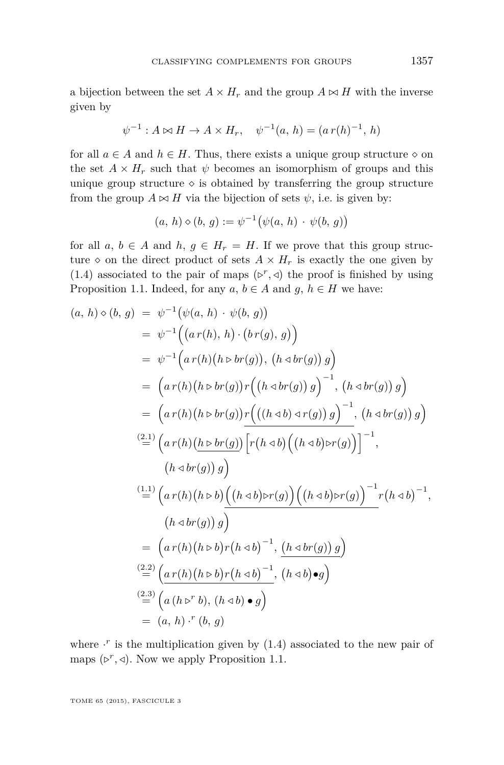a bijection between the set  $A \times H_r$  and the group  $A \bowtie H$  with the inverse given by

$$
\psi^{-1}: A \bowtie H \to A \times H_r, \quad \psi^{-1}(a, h) = (a r(h)^{-1}, h)
$$

for all  $a \in A$  and  $h \in H$ . Thus, there exists a unique group structure  $\diamond$  on the set  $A \times H_r$  such that  $\psi$  becomes an isomorphism of groups and this unique group structure  $\Diamond$  is obtained by transferring the group structure from the group  $A \bowtie H$  via the bijection of sets  $\psi$ , i.e. is given by:

$$
(a, h) \diamond (b, g) := \psi^{-1}(\psi(a, h) \cdot \psi(b, g))
$$

for all  $a, b \in A$  and  $h, g \in H_r = H$ . If we prove that this group structure  $\diamond$  on the direct product of sets  $A \times H_r$  is exactly the one given by [\(1.4\)](#page-4-0) associated to the pair of maps  $(\triangleright^r, \triangleleft)$  the proof is finished by using Proposition [1.1.](#page-4-0) Indeed, for any  $a, b \in A$  and  $g, h \in H$  we have:

$$
(a, h) \diamond (b, g) = \psi^{-1}(\psi(a, h) \cdot \psi(b, g))
$$
  
\n
$$
= \psi^{-1}((a r(h), h) \cdot (b r(g), g))
$$
  
\n
$$
= \psi^{-1}(a r(h)(h \triangleright br(g)), (h \triangleleft br(g)) g)
$$
  
\n
$$
= (a r(h)(h \triangleright br(g)) r((h \triangleleft br(g)) g)^{-1}, (h \triangleleft br(g)) g)
$$
  
\n
$$
= (a r(h)(h \triangleright br(g)) r(((h \triangleleft b) \triangleleft r(g)) g)^{-1}, (h \triangleleft br(g)) g)
$$
  
\n
$$
\stackrel{(2.1)}{=} (a r(h)(h \triangleright br(g)) \left[ r(h \triangleleft b) ((h \triangleleft b) \triangleright r(g)) \right]^{-1}, (h \triangleleft b \triangleright \negthinspace (g)) g \right) \right]^{-1}, (h \triangleleft br(g)) g)
$$
  
\n
$$
\stackrel{(1.1)}{=} (a r(h)(h \triangleright b) ((h \triangleleft b) \triangleright r(g)) ((h \triangleleft b) \triangleright r(g))^{-1} r(h \triangleleft b)^{-1}, (h \triangleleft br(g)) g)
$$
  
\n
$$
= (a r(h)(h \triangleright b) r(h \triangleleft b)^{-1}, (h \triangleleft br(g)) g)
$$
  
\n
$$
\stackrel{(2.2)}{=} (a r(h)(h \triangleright b) r(h \triangleleft b)^{-1}, (h \triangleleft b) \bullet g)
$$
  
\n
$$
= (a, h) \cdot r(b, g)
$$

where  $\cdot^r$  is the multiplication given by  $(1.4)$  associated to the new pair of maps  $(\triangleright^r, \triangleleft)$ . Now we apply Proposition [1.1.](#page-4-0)

TOME 65 (2015), FASCICULE 3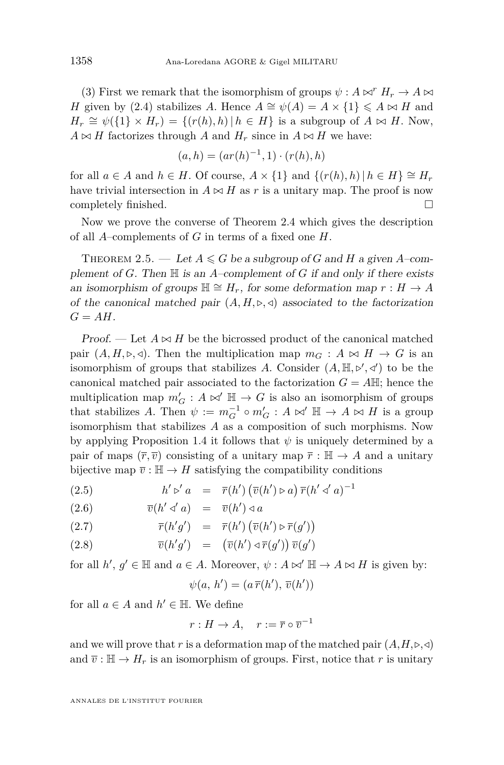<span id="page-10-0"></span>(3) First we remark that the isomorphism of groups  $\psi : A \bowtie^r H_r \to A \bowtie$ *H* given by [\(2.4\)](#page-8-0) stabilizes *A*. Hence  $A \cong \psi(A) = A \times \{1\} \leq A \bowtie H$  and  $H_r \cong \psi({1} \times H_r) = \{(r(h), h) | h \in H\}$  is a subgroup of  $A \bowtie H$ . Now,  $A \bowtie H$  factorizes through *A* and  $H_r$  since in  $A \bowtie H$  we have:

$$
(a, h) = (ar(h)^{-1}, 1) \cdot (r(h), h)
$$

for all  $a \in A$  and  $h \in H$ . Of course,  $A \times \{1\}$  and  $\{(r(h), h) | h \in H\} \cong H_r$ have trivial intersection in  $A \bowtie H$  as *r* is a unitary map. The proof is now completely finished.

Now we prove the converse of Theorem [2.4](#page-8-0) which gives the description of all *A*–complements of *G* in terms of a fixed one *H*.

THEOREM 2.5. — Let  $A \le G$  be a subgroup of G and H a given A-complement of *G*. Then H is an *A*–complement of *G* if and only if there exists an isomorphism of groups  $\mathbb{H} \cong H_r$ , for some deformation map  $r : H \to A$ of the canonical matched pair  $(A, H, \triangleright, \triangleleft)$  associated to the factorization  $G = AH$ .

*Proof.* — Let  $A \bowtie H$  be the bicrossed product of the canonical matched pair  $(A, H, \triangleright, \triangleleft)$ . Then the multiplication map  $m_G : A \bowtie H \rightarrow G$  is an isomorphism of groups that stabilizes A. Consider  $(A, \mathbb{H}, \triangleright', \triangleleft')$  to be the canonical matched pair associated to the factorization  $G = A \mathbb{H}$ ; hence the multiplication map  $m'_G : A \bowtie' \mathbb{H} \to G$  is also an isomorphism of groups that stabilizes *A*. Then  $\psi := m_G^{-1} \circ m_G' : A \bowtie' \mathbb{H} \to A \bowtie H$  is a group isomorphism that stabilizes *A* as a composition of such morphisms. Now by applying Proposition [1.4](#page-6-0) it follows that *ψ* is uniquely determined by a pair of maps  $(\overline{r}, \overline{v})$  consisting of a unitary map  $\overline{r} : \mathbb{H} \to A$  and a unitary bijective map  $\overline{v} : \mathbb{H} \to H$  satisfying the compatibility conditions

(2.5) 
$$
h' \triangleright' a = \overline{r}(h') (\overline{v}(h') \triangleright a) \overline{r}(h' \triangleleft' a)^{-1}
$$

$$
(2.6) \qquad \qquad \overline{v}(h' \triangleleft' a) \quad = \quad \overline{v}(h') \triangleleft a
$$

(2.7) 
$$
\overline{r}(h'g') = \overline{r}(h') \left( \overline{v}(h') \triangleright \overline{r}(g') \right)
$$

(2.8) 
$$
\overline{v}(h'g') = (\overline{v}(h') \triangleleft \overline{r}(g')) \overline{v}(g')
$$

for all  $h', g' \in \mathbb{H}$  and  $a \in A$ . Moreover,  $\psi : A \bowtie' \mathbb{H} \to A \bowtie H$  is given by:

$$
\psi(a, h') = (a \overline{r}(h'), \overline{v}(h'))
$$

for all  $a \in A$  and  $h' \in \mathbb{H}$ . We define

$$
r: H \to A, \quad r := \overline{r} \circ \overline{v}^{-1}
$$

and we will prove that r is a deformation map of the matched pair  $(A, H, \triangleright, \triangleleft)$ and  $\overline{v}$  :  $\mathbb{H} \to H_r$  is an isomorphism of groups. First, notice that *r* is unitary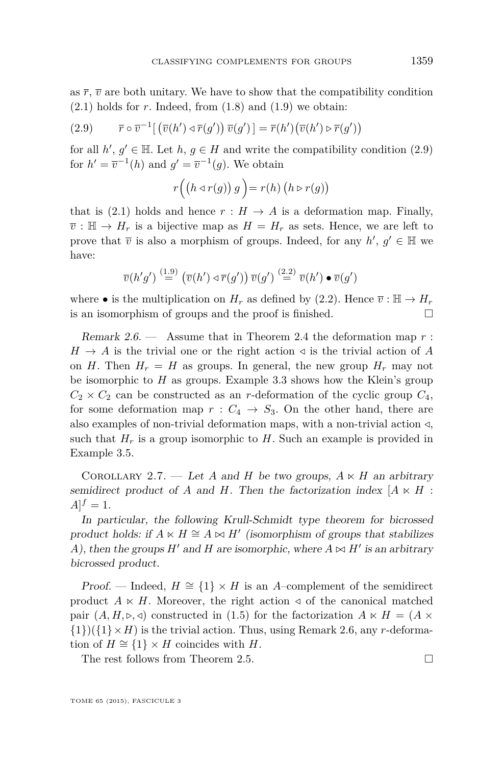<span id="page-11-0"></span>as  $\bar{r}$ ,  $\bar{v}$  are both unitary. We have to show that the compatibility condition  $(2.1)$  holds for *r*. Indeed, from  $(1.8)$  and  $(1.9)$  we obtain:

(2.9) 
$$
\overline{r} \circ \overline{v}^{-1} [\left(\overline{v}(h') \circ \overline{r}(g')\right) \overline{v}(g')] = \overline{r}(h') \left(\overline{v}(h') \circ \overline{r}(g')\right)
$$

for all  $h'$ ,  $g' \in \mathbb{H}$ . Let  $h, g \in H$  and write the compatibility condition (2.9) for  $h' = \overline{v}^{-1}(h)$  and  $g' = \overline{v}^{-1}(g)$ . We obtain

$$
r\Big(\big(h\triangleleft r(g)\big) g\Big)=r(h)\,\big(h\triangleright r(g)\big)
$$

that is [\(2.1\)](#page-7-0) holds and hence  $r : H \to A$  is a deformation map. Finally,  $\overline{v}$ :  $\mathbb{H} \to H_r$  is a bijective map as  $H = H_r$  as sets. Hence, we are left to prove that  $\overline{v}$  is also a morphism of groups. Indeed, for any  $h'$ ,  $g' \in \mathbb{H}$  we have:

$$
\overline{v}(h'g') \stackrel{(1.9)}{=} (\overline{v}(h') \triangleleft \overline{r}(g')) \overline{v}(g') \stackrel{(2.2)}{=} \overline{v}(h') \bullet \overline{v}(g')
$$

where • is the multiplication on  $H_r$  as defined by [\(2.2\)](#page-8-0). Hence  $\overline{v}$  :  $\mathbb{H} \to H_r$ is an isomorphism of groups and the proof is finished.  $\square$ 

Remark 2.6. — Assume that in Theorem [2.4](#page-8-0) the deformation map *r* :  $H \rightarrow A$  is the trivial one or the right action  $\triangleleft$  is the trivial action of A on *H*. Then  $H_r = H$  as groups. In general, the new group  $H_r$  may not be isomorphic to *H* as groups. Example [3.3](#page-14-0) shows how the Klein's group  $C_2 \times C_2$  can be constructed as an *r*-deformation of the cyclic group  $C_4$ , for some deformation map  $r : C_4 \rightarrow S_3$ . On the other hand, there are also examples of non-trivial deformation maps, with a non-trivial action */*, such that  $H_r$  is a group isomorphic to  $H$ . Such an example is provided in Example [3.5.](#page-16-0)

COROLLARY 2.7. — Let *A* and *H* be two groups,  $A \ltimes H$  an arbitrary semidirect product of *A* and *H*. Then the factorization index  $[A \times H]$ :  $A]^{f} = 1.$ 

In particular, the following Krull-Schmidt type theorem for bicrossed product holds: if  $A \ltimes H \cong A \ltimes H'$  (isomorphism of groups that stabilizes *A*), then the groups  $H'$  and  $H$  are isomorphic, where  $A \bowtie H'$  is an arbitrary bicrossed product.

Proof. — Indeed,  $H \cong \{1\} \times H$  is an *A*-complement of the semidirect product  $A \times H$ . Moreover, the right action  $\triangleleft$  of the canonical matched pair  $(A, H, \triangleright, \triangleleft)$  constructed in [\(1.5\)](#page-5-0) for the factorization  $A \ltimes H = (A \times$  $\{1\}(\{1\}\times H)$  is the trivial action. Thus, using Remark 2.6, any *r*-deformation of  $H \cong \{1\} \times H$  coincides with *H*.

The rest follows from Theorem [2.5.](#page-10-0)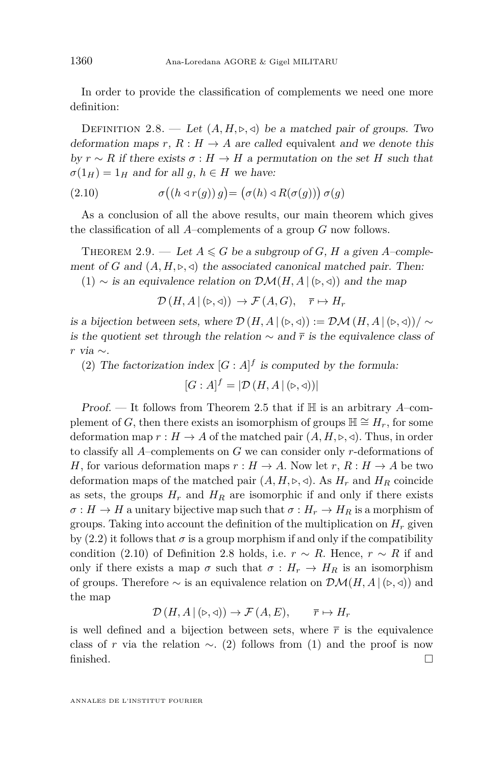<span id="page-12-0"></span>In order to provide the classification of complements we need one more definition:

DEFINITION 2.8. — Let  $(A, H, \triangleright, \triangleleft)$  be a matched pair of groups. Two deformation maps  $r, R : H \to A$  are called equivalent and we denote this by  $r \sim R$  if there exists  $\sigma : H \to H$  a permutation on the set *H* such that  $\sigma(1_H) = 1_H$  and for all *g*,  $h \in H$  we have:

(2.10) 
$$
\sigma((h \triangleleft r(g)) g) = (\sigma(h) \triangleleft R(\sigma(g))) \sigma(g)
$$

As a conclusion of all the above results, our main theorem which gives the classification of all *A*–complements of a group *G* now follows.

THEOREM 2.9. — Let  $A \le G$  be a subgroup of *G*, *H* a given *A*-complement of *G* and  $(A, H, \triangleright, \triangleleft)$  the associated canonical matched pair. Then:

(1) ∼ is an equivalence relation on  $\mathcal{DM}(H, A | (\triangleright, \triangleleft))$  and the map

$$
\mathcal{D}(H, A | (\triangleright, \triangleleft)) \to \mathcal{F}(A, G), \quad \overline{r} \mapsto H_r
$$

is a bijection between sets, where  $\mathcal{D}(H, A | (\triangleright, \triangleleft)) := \mathcal{DM}(H, A | (\triangleright, \triangleleft)) / \sim$ is the quotient set through the relation  $\sim$  and  $\bar{r}$  is the equivalence class of *r* via ∼.

(2) The factorization index  $[G : A]^f$  is computed by the formula:

$$
[G : A]^{f} = |\mathcal{D}(H, A | (\triangleright, \triangleleft))|
$$

Proof. — It follows from Theorem [2.5](#page-10-0) that if H is an arbitrary *A*–complement of *G*, then there exists an isomorphism of groups  $H \cong H_r$ , for some deformation map  $r : H \to A$  of the matched pair  $(A, H, \triangleright, \triangleleft)$ . Thus, in order to classify all *A*–complements on *G* we can consider only *r*-deformations of *H*, for various deformation maps  $r : H \to A$ . Now let  $r, R : H \to A$  be two deformation maps of the matched pair  $(A, H, \triangleright, \triangleleft)$ . As  $H_r$  and  $H_R$  coincide as sets, the groups  $H_r$  and  $H_R$  are isomorphic if and only if there exists  $\sigma: H \to H$  a unitary bijective map such that  $\sigma: H_r \to H_R$  is a morphism of groups. Taking into account the definition of the multiplication on  $H_r$  given by  $(2.2)$  it follows that  $\sigma$  is a group morphism if and only if the compatibility condition (2.10) of Definition 2.8 holds, i.e.  $r \sim R$ . Hence,  $r \sim R$  if and only if there exists a map  $\sigma$  such that  $\sigma : H_r \to H_R$  is an isomorphism of groups. Therefore  $\sim$  is an equivalence relation on  $\mathcal{DM}(H, A | (\triangleright, \triangleleft))$  and the map

$$
\mathcal{D}(H, A | (\triangleright, \triangleleft)) \to \mathcal{F}(A, E), \qquad \overline{r} \mapsto H_r
$$

is well defined and a bijection between sets, where  $\bar{r}$  is the equivalence class of *r* via the relation  $\sim$ . (2) follows from (1) and the proof is now finished.  $\square$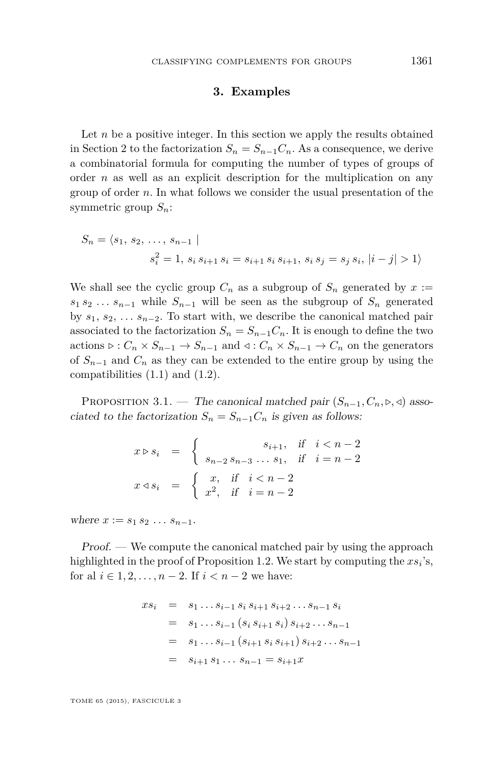#### **3. Examples**

<span id="page-13-0"></span>Let  $n$  be a positive integer. In this section we apply the results obtained in Section [2](#page-6-0) to the factorization  $S_n = S_{n-1}C_n$ . As a consequence, we derive a combinatorial formula for computing the number of types of groups of order *n* as well as an explicit description for the multiplication on any group of order *n*. In what follows we consider the usual presentation of the symmetric group *Sn*:

$$
S_n = \langle s_1, s_2, \dots, s_{n-1} |
$$
  

$$
s_i^2 = 1, s_i s_{i+1} s_i = s_{i+1} s_i s_{i+1}, s_i s_j = s_j s_i, |i - j| > 1 \rangle
$$

We shall see the cyclic group  $C_n$  as a subgroup of  $S_n$  generated by  $x :=$  $s_1 s_2 \ldots s_{n-1}$  while  $S_{n-1}$  will be seen as the subgroup of  $S_n$  generated by  $s_1, s_2, \ldots s_{n-2}$ . To start with, we describe the canonical matched pair associated to the factorization  $S_n = S_{n-1}C_n$ . It is enough to define the two actions  $\triangleright : C_n \times S_{n-1} \to S_{n-1}$  and  $\triangleleft : C_n \times S_{n-1} \to C_n$  on the generators of *Sn*−<sup>1</sup> and *C<sup>n</sup>* as they can be extended to the entire group by using the compatibilities  $(1.1)$  and  $(1.2)$ .

PROPOSITION 3.1. — The canonical matched pair  $(S_{n-1}, C_n, \triangleright, \triangleleft)$  associated to the factorization  $S_n = S_{n-1} C_n$  is given as follows:

$$
x \triangleright s_i = \begin{cases} s_{i+1}, & \text{if } i < n-2 \\ s_{n-2} s_{n-3} \dots s_1, & \text{if } i = n-2 \end{cases}
$$
  

$$
x \triangleleft s_i = \begin{cases} x, & \text{if } i < n-2 \\ x^2, & \text{if } i = n-2 \end{cases}
$$

where  $x := s_1 s_2 \ldots s_{n-1}$ .

 $Proof.$  — We compute the canonical matched pair by using the approach highlighted in the proof of Proposition [1.2.](#page-4-0) We start by computing the  $xs_i$ 's, for al  $i \in 1, 2, ..., n - 2$ . If  $i < n - 2$  we have:

$$
xs_i = s_1 \dots s_{i-1} s_i s_{i+1} s_{i+2} \dots s_{n-1} s_i
$$
  
=  $s_1 \dots s_{i-1} (s_i s_{i+1} s_i) s_{i+2} \dots s_{n-1}$   
=  $s_1 \dots s_{i-1} (s_{i+1} s_i s_{i+1}) s_{i+2} \dots s_{n-1}$   
=  $s_{i+1} s_1 \dots s_{n-1} = s_{i+1} x$ 

TOME 65 (2015), FASCICULE 3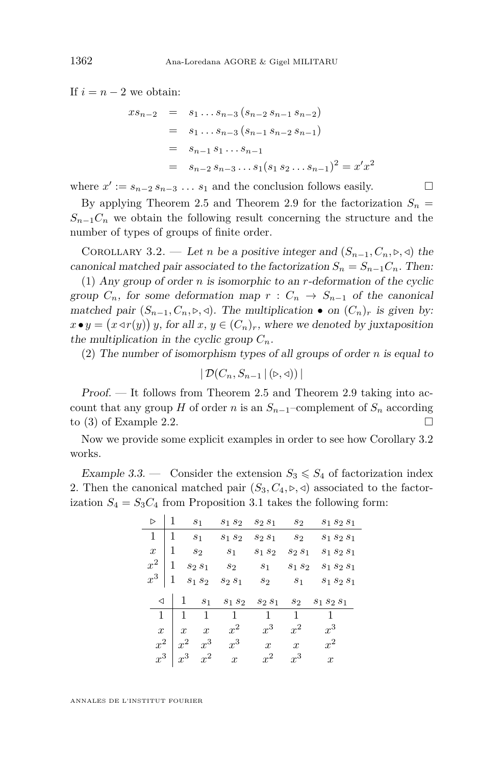<span id="page-14-0"></span>If  $i = n - 2$  we obtain:

$$
xs_{n-2} = s_1...s_{n-3} (s_{n-2} s_{n-1} s_{n-2})
$$
  
=  $s_1...s_{n-3} (s_{n-1} s_{n-2} s_{n-1})$   
=  $s_{n-1} s_1...s_{n-1}$   
=  $s_{n-2} s_{n-3}...s_1 (s_1 s_2...s_{n-1})^2 = x'x^2$ 

where  $x' := s_{n-2} s_{n-3} \dots s_1$  and the conclusion follows easily.  $\Box$ 

By applying Theorem [2.5](#page-10-0) and Theorem [2.9](#page-12-0) for the factorization  $S_n =$  $S_{n-1}C_n$  we obtain the following result concerning the structure and the number of types of groups of finite order.

COROLLARY 3.2. — Let *n* be a positive integer and  $(S_{n-1}, C_n, \triangleright, \triangleleft)$  the canonical matched pair associated to the factorization  $S_n = S_{n-1}C_n$ . Then:

(1) Any group of order *n* is isomorphic to an *r*-deformation of the cyclic group  $C_n$ , for some deformation map  $r : C_n \to S_{n-1}$  of the canonical matched pair  $(S_{n-1}, C_n, \triangleright, \triangleleft)$ . The multiplication  $\bullet$  on  $(C_n)_r$  is given by:  $x \bullet y = (x \triangleleft r(y)) y$ , for all  $x, y \in (C_n)_r$ , where we denoted by juxtaposition the multiplication in the cyclic group  $C_n$ .

(2) The number of isomorphism types of all groups of order *n* is equal to

$$
|\mathcal{D}(C_n, S_{n-1} | (\triangleright, \triangleleft))|
$$

Proof. — It follows from Theorem [2.5](#page-10-0) and Theorem [2.9](#page-12-0) taking into account that any group *H* of order *n* is an  $S_{n-1}$ –complement of  $S_n$  according to (3) of Example [2.2.](#page-7-0)

Now we provide some explicit examples in order to see how Corollary 3.2 works.

Example 3.3. — Consider the extension  $S_3 \leq S_4$  of factorization index 2. Then the canonical matched pair  $(S_3, C_4, \triangleright, \triangleleft)$  associated to the factorization  $S_4 = S_3 C_4$  from Proposition [3.1](#page-13-0) takes the following form:

| $\triangleright$ | $\mathbf{1}$ |                | s <sub>1</sub> | $s_1 s_2$ | $s_2s_1$       | $s_2$          | $s_1 s_2 s_1$ |
|------------------|--------------|----------------|----------------|-----------|----------------|----------------|---------------|
| 1                | $\mathbf{1}$ | $s_1$          |                | $S_1S_2$  | $S_2S_1$       | s <sub>2</sub> | $s_1 s_2 s_1$ |
| $\boldsymbol{x}$ | 1            | $s_2$          |                | $s_1$     | $s_1 s_2$      | $S_2S_1$       | $s_1 s_2 s_1$ |
| $x^2$            | -1           | $S_2S_1$       |                | $s_2$     | s <sub>1</sub> | $s_1 s_2$      | $s_1 s_2 s_1$ |
| $x^3 \mid 1$     |              | $s_1 s_2$      |                | $s_2 s_1$ | s <sub>2</sub> | s <sub>1</sub> | $S_1 S_2 S_1$ |
|                  |              |                |                |           |                |                |               |
| $\triangleleft$  |              | $\mathbf{1}$   | $s_1$          | $s_1 s_2$ | $S_2S_1$       | $s_2$          | $S_1 S_2 S_1$ |
| 1                |              | $\mathbf{1}$   | 1              | 1         | $\mathbf{1}$   | $\mathbf{1}$   | 1             |
| $\overline{x}$   |              | $\overline{x}$ | $\dot{x}$      | $x^2$     | $x^3$          | $x^2$          | $x^3$         |
| $x^2$            |              | $x^2$          | $x^3$          | $x^3$     | $\overline{x}$ | $\overline{x}$ | $x^2$         |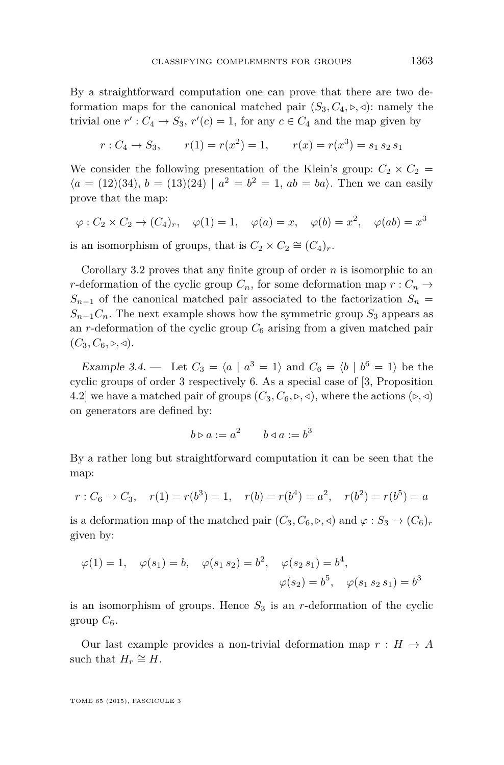<span id="page-15-0"></span>By a straightforward computation one can prove that there are two deformation maps for the canonical matched pair  $(S_3, C_4, \triangleright, \triangleleft)$ : namely the trivial one  $r'$ :  $C_4 \rightarrow S_3$ ,  $r'(c) = 1$ , for any  $c \in C_4$  and the map given by

$$
r: C_4 \to S_3
$$
,  $r(1) = r(x^2) = 1$ ,  $r(x) = r(x^3) = s_1 s_2 s_1$ 

We consider the following presentation of the Klein's group:  $C_2 \times C_2$  =  $\langle a = (12)(34), b = (13)(24) | a^2 = b^2 = 1, ab = ba \rangle$ . Then we can easily prove that the map:

$$
\varphi : C_2 \times C_2 \to (C_4)_r
$$
,  $\varphi(1) = 1$ ,  $\varphi(a) = x$ ,  $\varphi(b) = x^2$ ,  $\varphi(ab) = x^3$ 

is an isomorphism of groups, that is  $C_2 \times C_2 \cong (C_4)_r$ .

Corollary [3.2](#page-14-0) proves that any finite group of order *n* is isomorphic to an *r*-deformation of the cyclic group  $C_n$ , for some deformation map  $r: C_n \to$  $S_{n-1}$  of the canonical matched pair associated to the factorization  $S_n$  =  $S_{n-1}C_n$ . The next example shows how the symmetric group  $S_3$  appears as an  $r$ -deformation of the cyclic group  $C_6$  arising from a given matched pair  $(C_3, C_6, \triangleright, \triangleleft).$ 

Example 3.4. – Let  $C_3 = \langle a \mid a^3 = 1 \rangle$  and  $C_6 = \langle b \mid b^6 = 1 \rangle$  be the cyclic groups of order 3 respectively 6. As a special case of [\[3,](#page-16-0) Proposition 4.2] we have a matched pair of groups  $(C_3, C_6, \triangleright, \triangleleft)$ , where the actions  $(\triangleright, \triangleleft)$ on generators are defined by:

$$
b \triangleright a := a^2 \qquad b \triangleleft a := b^3
$$

By a rather long but straightforward computation it can be seen that the map:

$$
r: C_6 \to C_3
$$
,  $r(1) = r(b^3) = 1$ ,  $r(b) = r(b^4) = a^2$ ,  $r(b^2) = r(b^5) = a$ 

is a deformation map of the matched pair  $(C_3, C_6, \triangleright, \triangleleft)$  and  $\varphi : S_3 \to (C_6)_r$ given by:

$$
\varphi(1) = 1, \quad \varphi(s_1) = b, \quad \varphi(s_1 s_2) = b^2, \quad \varphi(s_2 s_1) = b^4,
$$
  
 $\varphi(s_2) = b^5, \quad \varphi(s_1 s_2 s_1) = b^3$ 

is an isomorphism of groups. Hence  $S_3$  is an  $r$ -deformation of the cyclic group  $C_6$ .

Our last example provides a non-trivial deformation map  $r : H \to A$ such that  $H_r \cong H$ .

TOME 65 (2015), FASCICULE 3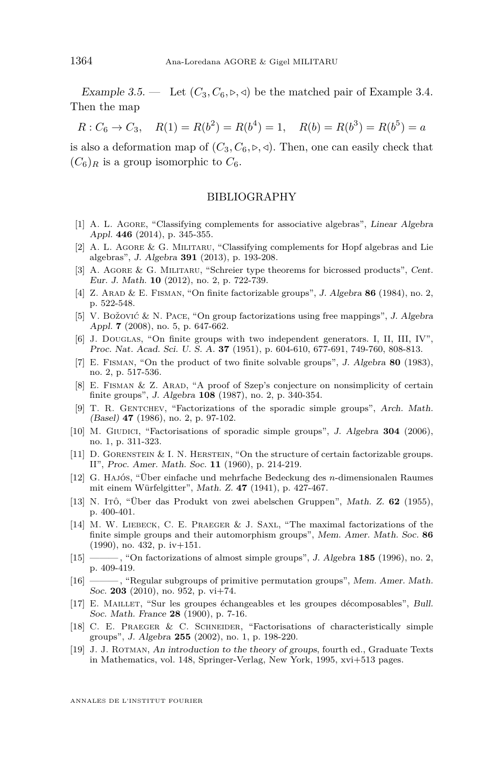<span id="page-16-0"></span>Example 3.5. — Let  $(C_3, C_6, \triangleright, \triangleleft)$  be the matched pair of Example [3.4.](#page-15-0) Then the map

 $R: C_6 \to C_3$ ,  $R(1) = R(b^2) = R(b^4) = 1$ ,  $R(b) = R(b^3) = R(b^5) = a$ 

is also a deformation map of  $(C_3, C_6, \triangleright, \triangleleft)$ . Then, one can easily check that  $(C_6)_R$  is a group isomorphic to  $C_6$ .

#### BIBLIOGRAPHY

- [1] A. L. Agore, "Classifying complements for associative algebras", Linear Algebra Appl. **446** (2014), p. 345-355.
- [2] A. L. Agore & G. Militaru, "Classifying complements for Hopf algebras and Lie algebras", J. Algebra **391** (2013), p. 193-208.
- [3] A. Agore & G. Militaru, "Schreier type theorems for bicrossed products", Cent. Eur. J. Math. **10** (2012), no. 2, p. 722-739.
- [4] Z. Arad & E. Fisman, "On finite factorizable groups", J. Algebra **86** (1984), no. 2, p. 522-548.
- [5] V. Božović & N. Pace, "On group factorizations using free mappings", J. Algebra Appl. **7** (2008), no. 5, p. 647-662.
- [6] J. DOUGLAS, "On finite groups with two independent generators. I, II, III, IV", Proc. Nat. Acad. Sci. U. S. A. **37** (1951), p. 604-610, 677-691, 749-760, 808-813.
- [7] E. Fisman, "On the product of two finite solvable groups", J. Algebra **80** (1983), no. 2, p. 517-536.
- [8] E. Fisman & Z. Arad, "A proof of Szep's conjecture on nonsimplicity of certain finite groups", J. Algebra **108** (1987), no. 2, p. 340-354.
- [9] T. R. GENTCHEV, "Factorizations of the sporadic simple groups", Arch. Math. (Basel) **47** (1986), no. 2, p. 97-102.
- [10] M. GIUDICI, "Factorisations of sporadic simple groups", J. Algebra **304** (2006), no. 1, p. 311-323.
- [11] D. Gorenstein & I. N. Herstein, "On the structure of certain factorizable groups. II", Proc. Amer. Math. Soc. **11** (1960), p. 214-219.
- [12] G. Hajós, "Über einfache und mehrfache Bedeckung des *n*-dimensionalen Raumes mit einem Würfelgitter", Math. Z. **47** (1941), p. 427-467.
- [13] N. Itô, "Über das Produkt von zwei abelschen Gruppen", Math. Z. **62** (1955), p. 400-401.
- [14] M. W. Liebeck, C. E. Praeger & J. Saxl, "The maximal factorizations of the finite simple groups and their automorphism groups", Mem. Amer. Math. Soc. **86** (1990), no. 432, p. iv+151.
- [15] ——, "On factorizations of almost simple groups", J. Algebra 185 (1996), no. 2, p. 409-419.
- [16] ——— , "Regular subgroups of primitive permutation groups", Mem. Amer. Math. Soc. **203** (2010), no. 952, p. vi+74.
- [17] E. Maillet, "Sur les groupes échangeables et les groupes décomposables", Bull. Soc. Math. France **28** (1900), p. 7-16.
- [18] C. E. Praeger & C. Schneider, "Factorisations of characteristically simple groups", J. Algebra **255** (2002), no. 1, p. 198-220.
- [19] J. J. Rotman, An introduction to the theory of groups, fourth ed., Graduate Texts in Mathematics, vol. 148, Springer-Verlag, New York, 1995, xvi+513 pages.